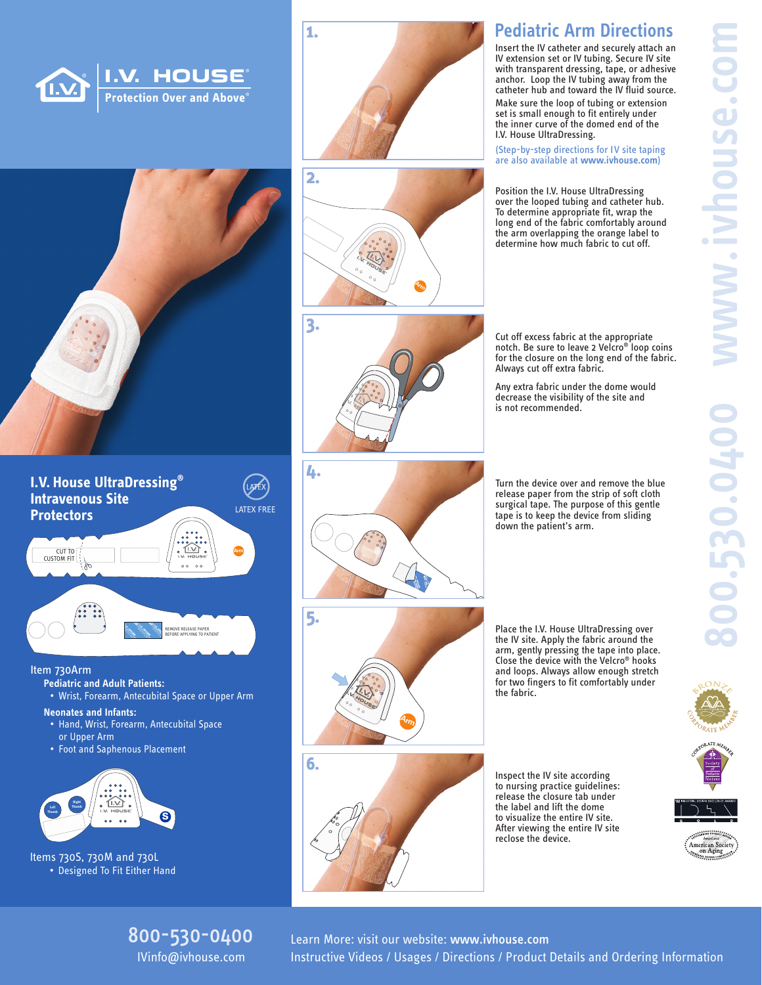





## **3.**

**4.**

**5.**

**Protection Oection Over and Above INTRAVENOUS SITE PROTECTOR Protection** ®

Insert the IV catheter and securely attach an IV extension set or IV tubing. Secure IV site with transparent dressing, tape, or adhesive anchor. Loop the IV tubing away from the catheter hub and toward the IV fluid source. Make sure the loop of tubing or extension set is small enough to fit entirely under the inner curve of the domed end of the

**Pediatric Arm Directions** 

(Step-by-step directions for IV site taping are also available at **www.ivhouse.com**)

Position the I.V. House UltraDressing over the looped tubing and catheter hub. To determine appropriate fit, wrap the long end of the fabric comfortably around the arm overlapping the orange label to determine how much fabric to cut off.

I.V. House UltraDressing.

Cut off excess fabric at the appropriate notch. Be sure to leave 2 Velcro® loop coins for the closure on the long end of the fabric. Always cut off extra fabric.

Any extra fabric under the dome would decrease the visibility of the site and is not recommended.

Turn the device over and remove the blue release paper from the strip of soft cloth surgical tape. The purpose of this gentle tape is to keep the device from sliding down the patient's arm.

Close the device with the Velcro® hooks the fabric.

Inspect the IV site according to nursing practice guidelines: release the closure tab under the label and lift the dome to visualize the entire IV site. After viewing the entire IV site reclose the device.



## Item 730Arm

- **Pediatric and Adult Patients:**
- Wrist, Forearm, Antecubital Space or Upper Arm
- **Neonates and Infants:**
- Hand, Wrist, Forearm, Antecubital Space or Upper Arm
- Foot and Saphenous Placement



Items 730S, 730M and 730L • Designed To Fit Either Hand



800-530-0400 IVinfo@ivhouse.com

Learn More: visit our website: www.ivhouse.com Instructive Videos / Usages / Directions / Product Details and Ordering Information

Place the I.V. House UltraDressing over the IV site. Apply the fabric around the arm, gently pressing the tape into place. and loops. Always allow enough stretch for two fingers to fit comfortably under



American Society<br>Aging